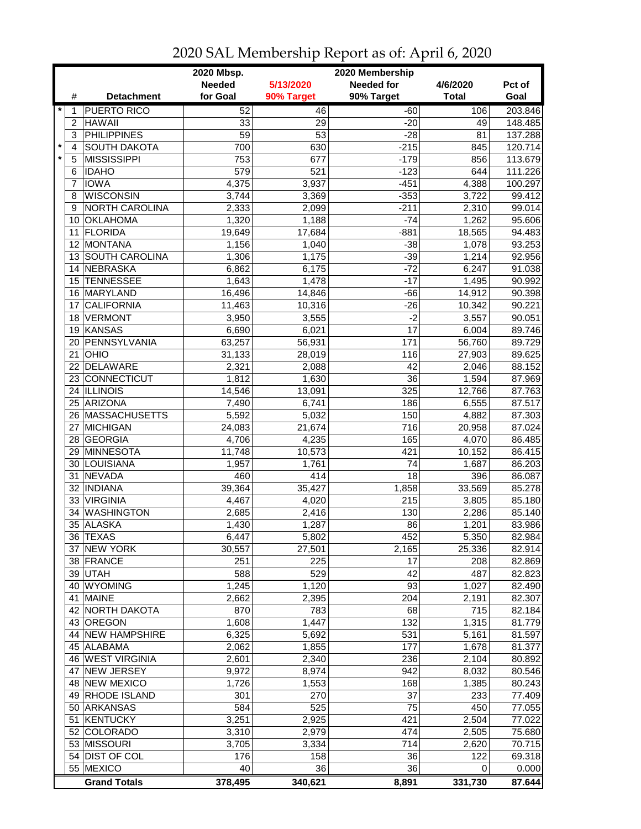|         |                | 2020 Mbsp.<br>2020 Membership |                 |                 |                   |              |         |  |
|---------|----------------|-------------------------------|-----------------|-----------------|-------------------|--------------|---------|--|
|         |                |                               | <b>Needed</b>   | 5/13/2020       | <b>Needed for</b> | 4/6/2020     | Pct of  |  |
|         | #              | <b>Detachment</b>             | for Goal        | 90% Target      | 90% Target        | <b>Total</b> | Goal    |  |
| $\star$ | 1              | <b>PUERTO RICO</b>            | 52              | 46              | $-60$             | 106          | 203.846 |  |
|         | $\overline{2}$ | <b>HAWAII</b>                 | 33              | 29              | $-20$             | 49           | 148.485 |  |
|         | 3              | <b>PHILIPPINES</b>            | $\overline{59}$ | $\overline{53}$ | $-28$             | 81           | 137.288 |  |
| $\star$ | 4              | <b>SOUTH DAKOTA</b>           | 700             | 630             | $-215$            | 845          | 120.714 |  |
| $\star$ | 5              | <b>MISSISSIPPI</b>            | 753             | 677             | $-179$            | 856          | 113.679 |  |
|         | 6              | <b>IDAHO</b>                  | 579             | 521             | $-123$            | 644          | 111.226 |  |
|         | 7              | <b>IOWA</b>                   | 4,375           | 3,937           | $-451$            | 4,388        |         |  |
|         |                |                               |                 |                 |                   |              | 100.297 |  |
|         | 8              | <b>WISCONSIN</b>              | 3,744           | 3,369           | $-353$            | 3,722        | 99.412  |  |
|         | 9              | NORTH CAROLINA                | 2,333           | 2,099           | $-211$            | 2,310        | 99.014  |  |
|         |                | 10 OKLAHOMA                   | 1,320           | 1,188           | $-74$             | 1,262        | 95.606  |  |
|         | 11             | <b>FLORIDA</b>                | 19,649          | 17,684          | $-881$            | 18,565       | 94.483  |  |
|         |                | 12 MONTANA                    | 1,156           | 1,040           | $-38$             | 1,078        | 93.253  |  |
|         |                | 13 SOUTH CAROLINA             | 1,306           | 1,175           | $-39$             | 1,214        | 92.956  |  |
|         | 14             | NEBRASKA                      | 6,862           | 6,175           | $-72$             | 6,247        | 91.038  |  |
|         |                | 15 TENNESSEE                  | 1,643           | 1,478           | $-17$             | 1,495        | 90.992  |  |
|         |                | 16 MARYLAND                   | 16,496          | 14,846          | $-66$             | 14,912       | 90.398  |  |
|         | 17             | <b>CALIFORNIA</b>             | 11,463          | 10,316          | $-26$             | 10,342       | 90.221  |  |
|         | 18             | <b>VERMONT</b>                | 3,950           | 3,555           | $-2$              | 3,557        | 90.051  |  |
|         | 19             | KANSAS                        | 6,690           | 6,021           | 17                | 6,004        | 89.746  |  |
|         | 20             | PENNSYLVANIA                  | 63,257          | 56,931          | 171               | 56,760       | 89.729  |  |
|         | 21             | OHIO                          | 31,133          | 28,019          | 116               | 27,903       | 89.625  |  |
|         |                | 22 DELAWARE                   | 2,321           | 2,088           | 42                | 2,046        | 88.152  |  |
|         |                | 23 CONNECTICUT                | 1,812           | 1,630           | $\overline{36}$   | 1,594        | 87.969  |  |
|         |                | 24 ILLINOIS                   | 14,546          | 13,091          | 325               | 12,766       | 87.763  |  |
|         |                | 25 ARIZONA                    | 7,490           | 6,741           | 186               | 6,555        | 87.517  |  |
|         |                | 26 MASSACHUSETTS              | 5,592           | 5,032           | 150               | 4,882        | 87.303  |  |
|         | 27             | <b>MICHIGAN</b>               | 24,083          | 21,674          | 716               | 20,958       | 87.024  |  |
|         |                | 28 GEORGIA                    |                 |                 | 165               | 4,070        | 86.485  |  |
|         | 29             | <b>MINNESOTA</b>              | 4,706           | 4,235           |                   |              |         |  |
|         |                |                               | 11,748          | 10,573          | 421               | 10,152       | 86.415  |  |
|         | 30             | LOUISIANA                     | 1,957           | 1,761           | 74                | 1,687        | 86.203  |  |
|         | 31             | NEVADA                        | 460             | 414             | 18                | 396          | 86.087  |  |
|         |                | 32   INDIANA                  | 39,364          | 35,427          | 1,858             | 33,569       | 85.278  |  |
|         |                | 33 VIRGINIA                   | 4,467           | 4,020           | 215               | 3,805        | 85.180  |  |
|         | 34             | <b>WASHINGTON</b>             | 2,685           | 2,416           | 130               | 2,286        | 85.140  |  |
|         |                | 35 ALASKA                     | 1,430           | 1,287           | 86                | 1,201        | 83.986  |  |
|         |                | 36 TEXAS                      | 6,447           | 5,802           | 452               | 5,350        | 82.984  |  |
|         |                | 37 NEW YORK                   | 30,557          | 27,501          | 2,165             | 25,336       | 82.914  |  |
|         |                | 38 FRANCE                     | 251             | 225             | 17                | 208          | 82.869  |  |
|         |                | 39 UTAH                       | 588             | 529             | 42                | 487          | 82.823  |  |
|         |                | 40 WYOMING                    | 1,245           | 1,120           | 93                | 1,027        | 82.490  |  |
|         |                | 41 MAINE                      | 2,662           | 2,395           | 204               | 2,191        | 82.307  |  |
|         |                | 42 NORTH DAKOTA               | 870             | 783             | 68                | 715          | 82.184  |  |
|         |                | 43 OREGON                     | 1,608           | 1,447           | 132               | 1,315        | 81.779  |  |
|         |                | 44 NEW HAMPSHIRE              | 6,325           | 5,692           | 531               | 5,161        | 81.597  |  |
|         |                | 45 ALABAMA                    | 2,062           | 1,855           | 177               | 1,678        | 81.377  |  |
|         |                | 46 WEST VIRGINIA              | 2,601           | 2,340           | 236               | 2,104        | 80.892  |  |
|         | 47             | <b>NEW JERSEY</b>             | 9,972           | 8,974           | 942               | 8,032        | 80.546  |  |
|         |                | 48 NEW MEXICO                 | 1,726           | 1,553           | 168               | 1,385        | 80.243  |  |
|         |                | 49 RHODE ISLAND               | 301             | 270             | 37                | 233          | 77.409  |  |
|         |                | 50 ARKANSAS                   | 584             | 525             | 75                | 450          | 77.055  |  |
|         |                | 51 KENTUCKY                   | 3,251           | 2,925           | 421               | 2,504        | 77.022  |  |
|         |                | 52 COLORADO                   | 3,310           | 2,979           | 474               | 2,505        | 75.680  |  |
|         |                | 53 MISSOURI                   | 3,705           | 3,334           | 714               | 2,620        | 70.715  |  |
|         |                | 54 DIST OF COL                | 176             | 158             | 36                | 122          | 69.318  |  |
|         |                | 55 MEXICO                     | 40              | 36              | 36                | 0            |         |  |
|         |                |                               |                 |                 |                   |              | 0.000   |  |
|         |                | <b>Grand Totals</b>           | 378,495         | 340,621         | 8,891             | 331,730      | 87.644  |  |

## 2020 SAL Membership Report as of: April 6, 2020